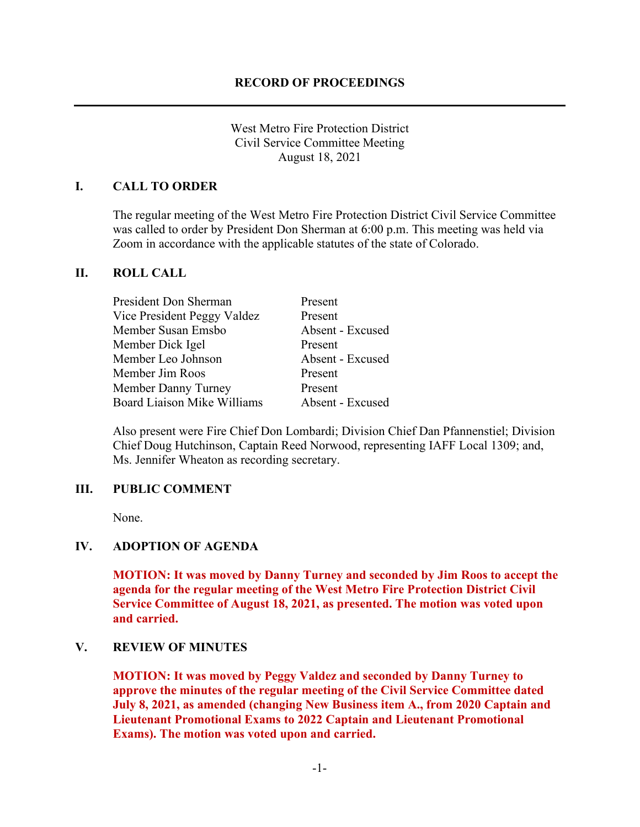West Metro Fire Protection District Civil Service Committee Meeting August 18, 2021

### **I. CALL TO ORDER**

The regular meeting of the West Metro Fire Protection District Civil Service Committee was called to order by President Don Sherman at 6:00 p.m. This meeting was held via Zoom in accordance with the applicable statutes of the state of Colorado.

#### **II. ROLL CALL**

| President Don Sherman              | Present          |
|------------------------------------|------------------|
| Vice President Peggy Valdez        | Present          |
| Member Susan Emsbo                 | Absent - Excused |
| Member Dick Igel                   | Present          |
| Member Leo Johnson                 | Absent - Excused |
| Member Jim Roos                    | Present          |
| Member Danny Turney                | Present          |
| <b>Board Liaison Mike Williams</b> | Absent - Excused |

Also present were Fire Chief Don Lombardi; Division Chief Dan Pfannenstiel; Division Chief Doug Hutchinson, Captain Reed Norwood, representing IAFF Local 1309; and, Ms. Jennifer Wheaton as recording secretary.

#### **III. PUBLIC COMMENT**

None.

# **IV. ADOPTION OF AGENDA**

**MOTION: It was moved by Danny Turney and seconded by Jim Roos to accept the agenda for the regular meeting of the West Metro Fire Protection District Civil Service Committee of August 18, 2021, as presented. The motion was voted upon and carried.**

#### **V. REVIEW OF MINUTES**

**MOTION: It was moved by Peggy Valdez and seconded by Danny Turney to approve the minutes of the regular meeting of the Civil Service Committee dated July 8, 2021, as amended (changing New Business item A., from 2020 Captain and Lieutenant Promotional Exams to 2022 Captain and Lieutenant Promotional Exams). The motion was voted upon and carried.**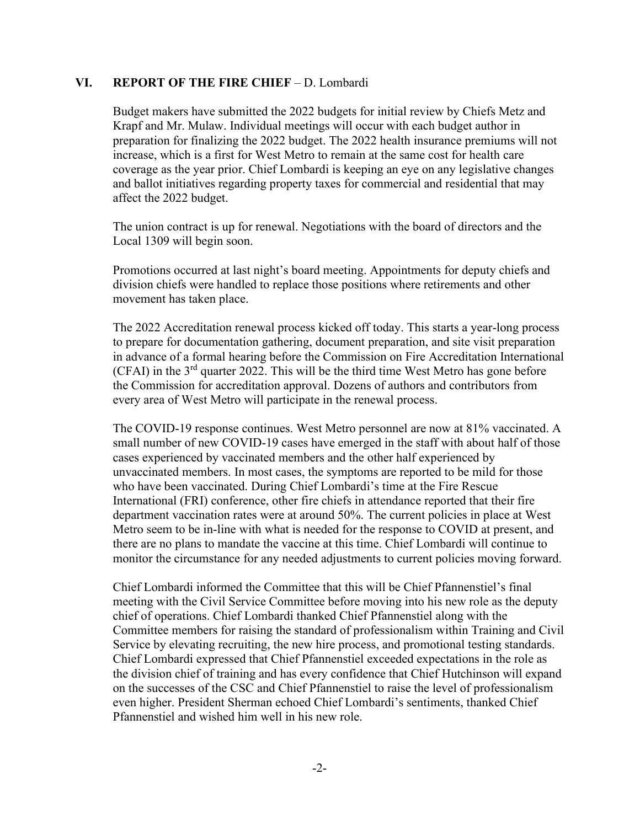#### **VI. REPORT OF THE FIRE CHIEF** – D. Lombardi

Budget makers have submitted the 2022 budgets for initial review by Chiefs Metz and Krapf and Mr. Mulaw. Individual meetings will occur with each budget author in preparation for finalizing the 2022 budget. The 2022 health insurance premiums will not increase, which is a first for West Metro to remain at the same cost for health care coverage as the year prior. Chief Lombardi is keeping an eye on any legislative changes and ballot initiatives regarding property taxes for commercial and residential that may affect the 2022 budget.

The union contract is up for renewal. Negotiations with the board of directors and the Local 1309 will begin soon.

Promotions occurred at last night's board meeting. Appointments for deputy chiefs and division chiefs were handled to replace those positions where retirements and other movement has taken place.

The 2022 Accreditation renewal process kicked off today. This starts a year-long process to prepare for documentation gathering, document preparation, and site visit preparation in advance of a formal hearing before the Commission on Fire Accreditation International  $(CFAI)$  in the  $3<sup>rd</sup>$  quarter 2022. This will be the third time West Metro has gone before the Commission for accreditation approval. Dozens of authors and contributors from every area of West Metro will participate in the renewal process.

The COVID-19 response continues. West Metro personnel are now at 81% vaccinated. A small number of new COVID-19 cases have emerged in the staff with about half of those cases experienced by vaccinated members and the other half experienced by unvaccinated members. In most cases, the symptoms are reported to be mild for those who have been vaccinated. During Chief Lombardi's time at the Fire Rescue International (FRI) conference, other fire chiefs in attendance reported that their fire department vaccination rates were at around 50%. The current policies in place at West Metro seem to be in-line with what is needed for the response to COVID at present, and there are no plans to mandate the vaccine at this time. Chief Lombardi will continue to monitor the circumstance for any needed adjustments to current policies moving forward.

Chief Lombardi informed the Committee that this will be Chief Pfannenstiel's final meeting with the Civil Service Committee before moving into his new role as the deputy chief of operations. Chief Lombardi thanked Chief Pfannenstiel along with the Committee members for raising the standard of professionalism within Training and Civil Service by elevating recruiting, the new hire process, and promotional testing standards. Chief Lombardi expressed that Chief Pfannenstiel exceeded expectations in the role as the division chief of training and has every confidence that Chief Hutchinson will expand on the successes of the CSC and Chief Pfannenstiel to raise the level of professionalism even higher. President Sherman echoed Chief Lombardi's sentiments, thanked Chief Pfannenstiel and wished him well in his new role.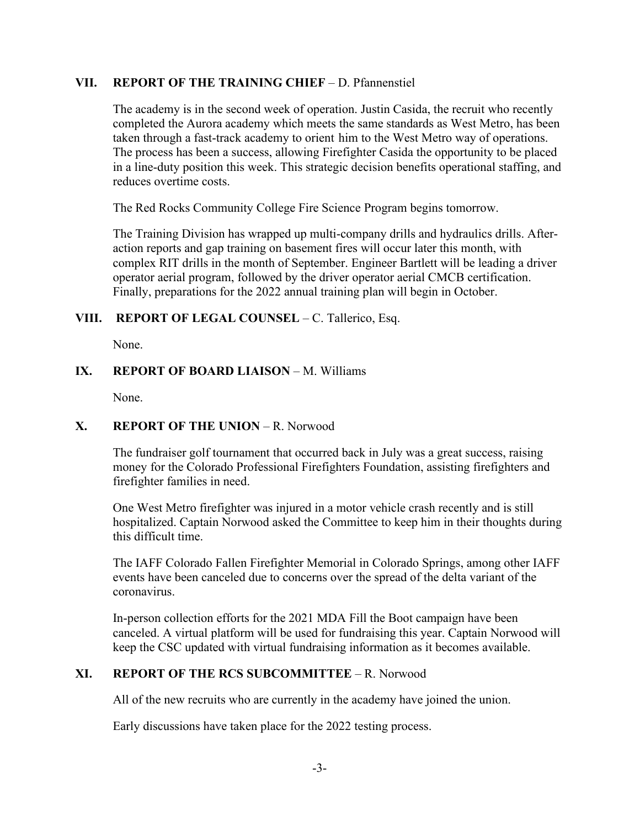#### **VII. REPORT OF THE TRAINING CHIEF** – D. Pfannenstiel

The academy is in the second week of operation. Justin Casida, the recruit who recently completed the Aurora academy which meets the same standards as West Metro, has been taken through a fast-track academy to orient him to the West Metro way of operations. The process has been a success, allowing Firefighter Casida the opportunity to be placed in a line-duty position this week. This strategic decision benefits operational staffing, and reduces overtime costs.

The Red Rocks Community College Fire Science Program begins tomorrow.

The Training Division has wrapped up multi-company drills and hydraulics drills. Afteraction reports and gap training on basement fires will occur later this month, with complex RIT drills in the month of September. Engineer Bartlett will be leading a driver operator aerial program, followed by the driver operator aerial CMCB certification. Finally, preparations for the 2022 annual training plan will begin in October.

# **VIII. REPORT OF LEGAL COUNSEL** – C. Tallerico, Esq.

None.

# **IX. REPORT OF BOARD LIAISON – M. Williams**

None.

# **X. REPORT OF THE UNION** – R. Norwood

The fundraiser golf tournament that occurred back in July was a great success, raising money for the Colorado Professional Firefighters Foundation, assisting firefighters and firefighter families in need.

One West Metro firefighter was injured in a motor vehicle crash recently and is still hospitalized. Captain Norwood asked the Committee to keep him in their thoughts during this difficult time.

The IAFF Colorado Fallen Firefighter Memorial in Colorado Springs, among other IAFF events have been canceled due to concerns over the spread of the delta variant of the coronavirus.

In-person collection efforts for the 2021 MDA Fill the Boot campaign have been canceled. A virtual platform will be used for fundraising this year. Captain Norwood will keep the CSC updated with virtual fundraising information as it becomes available.

# **XI. REPORT OF THE RCS SUBCOMMITTEE** – R. Norwood

All of the new recruits who are currently in the academy have joined the union.

Early discussions have taken place for the 2022 testing process.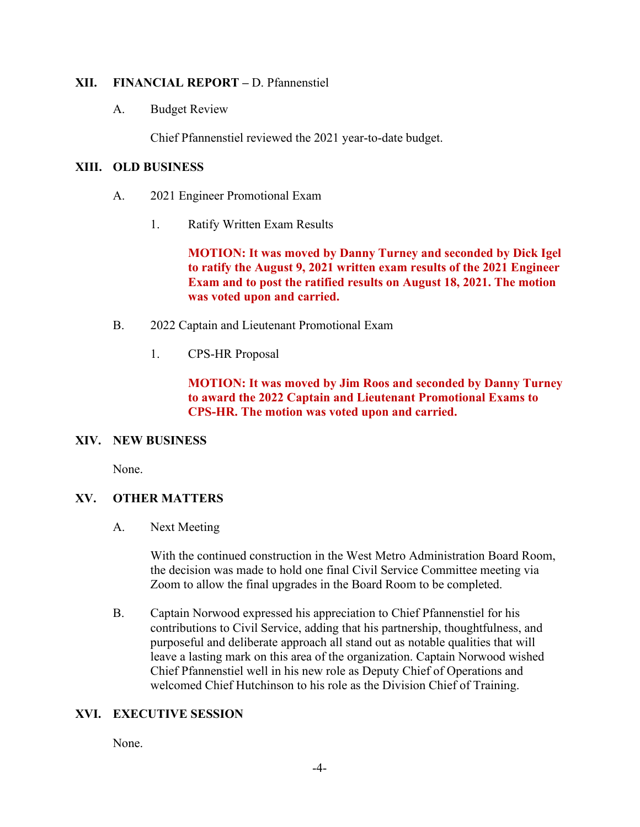#### **XII. FINANCIAL REPORT –** D. Pfannenstiel

A. Budget Review

Chief Pfannenstiel reviewed the 2021 year-to-date budget.

### **XIII. OLD BUSINESS**

- A. 2021 Engineer Promotional Exam
	- 1. Ratify Written Exam Results

**MOTION: It was moved by Danny Turney and seconded by Dick Igel to ratify the August 9, 2021 written exam results of the 2021 Engineer Exam and to post the ratified results on August 18, 2021. The motion was voted upon and carried.**

- B. 2022 Captain and Lieutenant Promotional Exam
	- 1. CPS-HR Proposal

**MOTION: It was moved by Jim Roos and seconded by Danny Turney to award the 2022 Captain and Lieutenant Promotional Exams to CPS-HR. The motion was voted upon and carried.**

#### **XIV. NEW BUSINESS**

None.

# **XV. OTHER MATTERS**

A. Next Meeting

With the continued construction in the West Metro Administration Board Room, the decision was made to hold one final Civil Service Committee meeting via Zoom to allow the final upgrades in the Board Room to be completed.

B. Captain Norwood expressed his appreciation to Chief Pfannenstiel for his contributions to Civil Service, adding that his partnership, thoughtfulness, and purposeful and deliberate approach all stand out as notable qualities that will leave a lasting mark on this area of the organization. Captain Norwood wished Chief Pfannenstiel well in his new role as Deputy Chief of Operations and welcomed Chief Hutchinson to his role as the Division Chief of Training.

# **XVI. EXECUTIVE SESSION**

None.